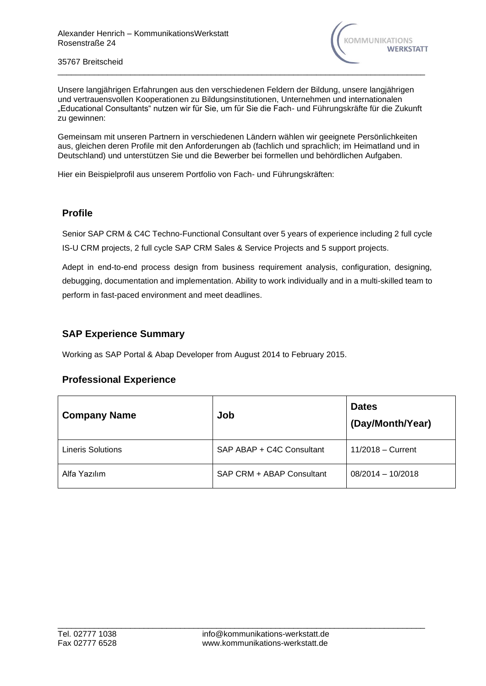

Unsere langjährigen Erfahrungen aus den verschiedenen Feldern der Bildung, unsere langjährigen und vertrauensvollen Kooperationen zu Bildungsinstitutionen, Unternehmen und internationalen "Educational Consultants" nutzen wir für Sie, um für Sie die Fach- und Führungskräfte für die Zukunft zu gewinnen:

\_\_\_\_\_\_\_\_\_\_\_\_\_\_\_\_\_\_\_\_\_\_\_\_\_\_\_\_\_\_\_\_\_\_\_\_\_\_\_\_\_\_\_\_\_\_\_\_\_\_\_\_\_\_\_\_\_\_\_\_\_\_\_\_\_\_\_\_\_\_\_\_\_\_\_\_\_\_\_\_\_

Gemeinsam mit unseren Partnern in verschiedenen Ländern wählen wir geeignete Persönlichkeiten aus, gleichen deren Profile mit den Anforderungen ab (fachlich und sprachlich; im Heimatland und in Deutschland) und unterstützen Sie und die Bewerber bei formellen und behördlichen Aufgaben.

Hier ein Beispielprofil aus unserem Portfolio von Fach- und Führungskräften:

## **Profile**

Senior SAP CRM & C4C Techno-Functional Consultant over 5 years of experience including 2 full cycle IS-U CRM projects, 2 full cycle SAP CRM Sales & Service Projects and 5 support projects.

Adept in end-to-end process design from business requirement analysis, configuration, designing, debugging, documentation and implementation. Ability to work individually and in a multi-skilled team to perform in fast-paced environment and meet deadlines.

## **SAP Experience Summary**

Working as SAP Portal & Abap Developer from August 2014 to February 2015.

## **Professional Experience**

| <b>Company Name</b>      | Job                       | <b>Dates</b><br>(Day/Month/Year) |
|--------------------------|---------------------------|----------------------------------|
| <b>Lineris Solutions</b> | SAP ABAP + C4C Consultant | $11/2018 -$ Current              |
| Alfa Yazılım             | SAP CRM + ABAP Consultant | $08/2014 - 10/2018$              |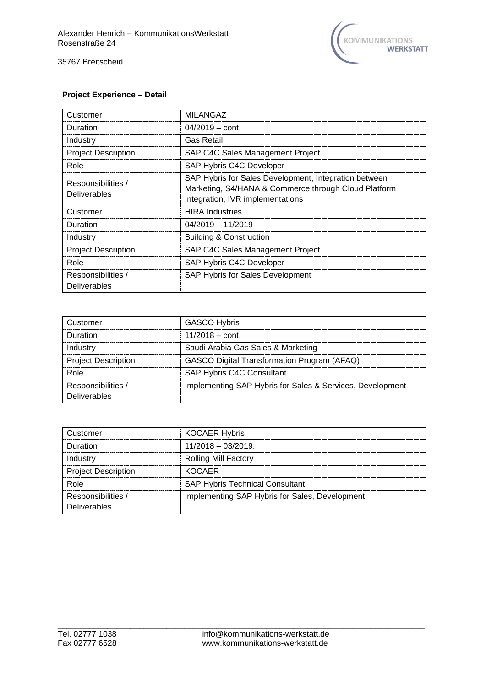

### **Project Experience – Detail**

| Customer                                  | <b>MILANGAZ</b>                                                                                                                                   |
|-------------------------------------------|---------------------------------------------------------------------------------------------------------------------------------------------------|
| Duration                                  | $04/2019 - \text{cont.}$                                                                                                                          |
| Industry                                  | <b>Gas Retail</b>                                                                                                                                 |
| <b>Project Description</b>                | SAP C4C Sales Management Project                                                                                                                  |
| Role                                      | SAP Hybris C4C Developer                                                                                                                          |
| Responsibilities /<br><b>Deliverables</b> | SAP Hybris for Sales Development, Integration between<br>Marketing, S4/HANA & Commerce through Cloud Platform<br>Integration, IVR implementations |
| Customer                                  | <b>HIRA</b> Industries                                                                                                                            |
| Duration                                  | $04/2019 - 11/2019$                                                                                                                               |
| Industry                                  | <b>Building &amp; Construction</b>                                                                                                                |
| <b>Project Description</b>                | SAP C4C Sales Management Project                                                                                                                  |
| Role                                      | SAP Hybris C4C Developer                                                                                                                          |
| Responsibilities /<br><b>Deliverables</b> | SAP Hybris for Sales Development                                                                                                                  |

\_\_\_\_\_\_\_\_\_\_\_\_\_\_\_\_\_\_\_\_\_\_\_\_\_\_\_\_\_\_\_\_\_\_\_\_\_\_\_\_\_\_\_\_\_\_\_\_\_\_\_\_\_\_\_\_\_\_\_\_\_\_\_\_\_\_\_\_\_\_\_\_\_\_\_\_\_\_\_\_\_

| Customer                           | <b>GASCO Hybris</b>                                       |
|------------------------------------|-----------------------------------------------------------|
| Duration                           | $11/2018 - \text{cont}$                                   |
| Industry                           | Saudi Arabia Gas Sales & Marketing                        |
| <b>Project Description</b>         | <b>GASCO Digital Transformation Program (AFAQ)</b>        |
| Role                               | SAP Hybris C4C Consultant                                 |
| Responsibilities /<br>Deliverables | Implementing SAP Hybris for Sales & Services, Development |

| Customer                           | <b>KOCAER Hybris</b>                           |
|------------------------------------|------------------------------------------------|
| Duration                           | $11/2018 - 03/2019$                            |
| Industry                           | <b>Rolling Mill Factory</b>                    |
| <b>Project Description</b>         | KOCAFR                                         |
| Role                               | <b>SAP Hybris Technical Consultant</b>         |
| Responsibilities /<br>Deliverables | Implementing SAP Hybris for Sales, Development |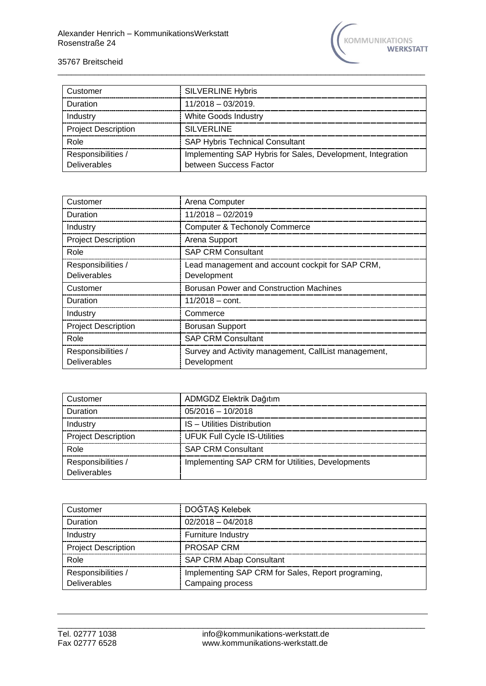

| Customer                                  | <b>SILVERLINE Hybris</b>                                                              |
|-------------------------------------------|---------------------------------------------------------------------------------------|
| Duration                                  | $11/2018 - 03/2019$                                                                   |
| Industry                                  | White Goods Industry                                                                  |
| <b>Project Description</b>                | SILVERLINE                                                                            |
| Role                                      | <b>SAP Hybris Technical Consultant</b>                                                |
| Responsibilities /<br><b>Deliverables</b> | Implementing SAP Hybris for Sales, Development, Integration<br>between Success Factor |

\_\_\_\_\_\_\_\_\_\_\_\_\_\_\_\_\_\_\_\_\_\_\_\_\_\_\_\_\_\_\_\_\_\_\_\_\_\_\_\_\_\_\_\_\_\_\_\_\_\_\_\_\_\_\_\_\_\_\_\_\_\_\_\_\_\_\_\_\_\_\_\_\_\_\_\_\_\_\_\_\_

| Customer                   | Arena Computer                                       |
|----------------------------|------------------------------------------------------|
| Duration                   | $11/2018 - 02/2019$                                  |
| Industry                   | <b>Computer &amp; Techonoly Commerce</b>             |
| <b>Project Description</b> | Arena Support                                        |
| Role                       | <b>SAP CRM Consultant</b>                            |
| Responsibilities /         | Lead management and account cockpit for SAP CRM,     |
| <b>Deliverables</b>        | Development                                          |
| Customer                   | <b>Borusan Power and Construction Machines</b>       |
| Duration                   | $11/2018 - \text{cont.}$                             |
| Industry                   | Commerce                                             |
| <b>Project Description</b> | <b>Borusan Support</b>                               |
| Role                       | <b>SAP CRM Consultant</b>                            |
| Responsibilities /         | Survey and Activity management, CallList management, |
| <b>Deliverables</b>        | Development                                          |

| Customer                           | ADMGDZ Elektrik Dağıtım                          |
|------------------------------------|--------------------------------------------------|
| Duration                           | $05/2016 - 10/2018$                              |
| Industry                           | IS - Utilities Distribution                      |
| <b>Project Description</b>         | <b>UFUK Full Cycle IS-Utilities</b>              |
| Role                               | <b>SAP CRM Consultant</b>                        |
| Responsibilities /<br>Deliverables | Implementing SAP CRM for Utilities, Developments |

| Customer                                  | DOĞTAŞ Kelebek                                                         |
|-------------------------------------------|------------------------------------------------------------------------|
| Duration                                  | $02/2018 - 04/2018$                                                    |
| Industry                                  | <b>Furniture Industry</b>                                              |
| <b>Project Description</b>                | PROSAP CRM                                                             |
| Role                                      | <b>SAP CRM Abap Consultant</b>                                         |
| Responsibilities /<br><b>Deliverables</b> | Implementing SAP CRM for Sales, Report programing,<br>Campaing process |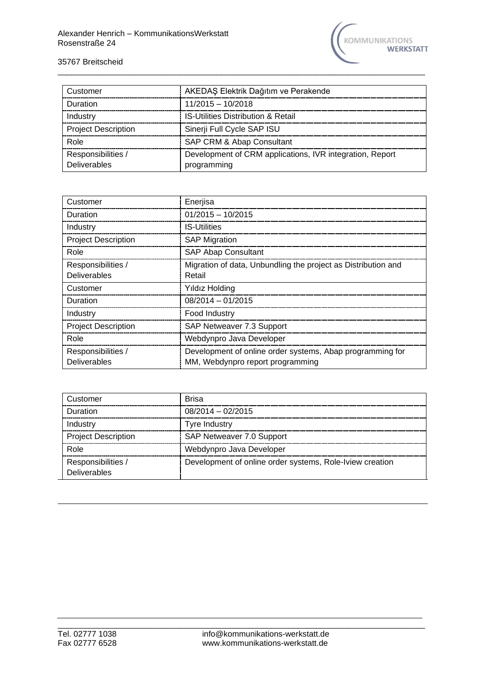

| Customer                           | AKEDAŞ Elektrik Dağıtım ve Perakende                                    |
|------------------------------------|-------------------------------------------------------------------------|
| Duration                           | $11/2015 - 10/2018$                                                     |
| Industry                           | <b>IS-Utilities Distribution &amp; Retail</b>                           |
| <b>Project Description</b>         | Sinerji Full Cycle SAP ISU                                              |
| Role                               | SAP CRM & Abap Consultant                                               |
| Responsibilities /<br>Deliverables | Development of CRM applications, IVR integration, Report<br>programming |

\_\_\_\_\_\_\_\_\_\_\_\_\_\_\_\_\_\_\_\_\_\_\_\_\_\_\_\_\_\_\_\_\_\_\_\_\_\_\_\_\_\_\_\_\_\_\_\_\_\_\_\_\_\_\_\_\_\_\_\_\_\_\_\_\_\_\_\_\_\_\_\_\_\_\_\_\_\_\_\_\_

| Customer                   | Enerjisa                                                      |
|----------------------------|---------------------------------------------------------------|
| Duration                   | $01/2015 - 10/2015$                                           |
| Industry                   | <b>IS-Utilities</b>                                           |
| <b>Project Description</b> | <b>SAP Migration</b>                                          |
| Role                       | <b>SAP Abap Consultant</b>                                    |
| Responsibilities /         | Migration of data, Unbundling the project as Distribution and |
| <b>Deliverables</b>        | Retail                                                        |
| Customer                   | Yıldız Holding                                                |
| Duration                   | $08/2014 - 01/2015$                                           |
| Industry                   | Food Industry                                                 |
| <b>Project Description</b> | SAP Netweaver 7.3 Support                                     |
| Role                       | Webdynpro Java Developer                                      |
| Responsibilities /         | Development of online order systems, Abap programming for     |
| <b>Deliverables</b>        | MM, Webdynpro report programming                              |

| Customer                           | <b>Brisa</b>                                             |
|------------------------------------|----------------------------------------------------------|
| Duration                           | $08/2014 - 02/2015$                                      |
| Industry                           | <b>Tyre Industry</b>                                     |
| <b>Project Description</b>         | SAP Netweaver 7.0 Support                                |
| Role                               | Webdynpro Java Developer                                 |
| Responsibilities /<br>Deliverables | Development of online order systems, Role-Iview creation |